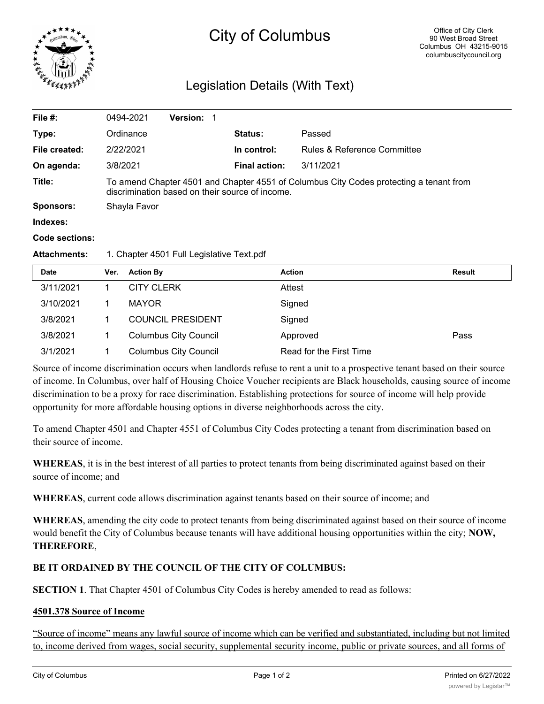

# City of Columbus

## Legislation Details (With Text)

| File $#$ :       | 0494-2021                                                                                                                                 | <b>Version:</b><br>1 |  |                      |                             |  |
|------------------|-------------------------------------------------------------------------------------------------------------------------------------------|----------------------|--|----------------------|-----------------------------|--|
| Type:            | Ordinance                                                                                                                                 |                      |  | <b>Status:</b>       | Passed                      |  |
| File created:    | 2/22/2021                                                                                                                                 |                      |  | In control:          | Rules & Reference Committee |  |
| On agenda:       | 3/8/2021                                                                                                                                  |                      |  | <b>Final action:</b> | 3/11/2021                   |  |
| Title:           | To amend Chapter 4501 and Chapter 4551 of Columbus City Codes protecting a tenant from<br>discrimination based on their source of income. |                      |  |                      |                             |  |
| <b>Sponsors:</b> | Shayla Favor                                                                                                                              |                      |  |                      |                             |  |
| Indexes:         |                                                                                                                                           |                      |  |                      |                             |  |
| Code sections:   |                                                                                                                                           |                      |  |                      |                             |  |
|                  |                                                                                                                                           |                      |  |                      |                             |  |

### **Attachments:** 1. Chapter 4501 Full Legislative Text.pdf

| <b>Date</b> | Ver. | <b>Action By</b>             | Action                  | Result |
|-------------|------|------------------------------|-------------------------|--------|
| 3/11/2021   |      | <b>CITY CLERK</b>            | Attest                  |        |
| 3/10/2021   |      | <b>MAYOR</b>                 | Signed                  |        |
| 3/8/2021    |      | <b>COUNCIL PRESIDENT</b>     | Signed                  |        |
| 3/8/2021    |      | <b>Columbus City Council</b> | Approved                | Pass   |
| 3/1/2021    |      | <b>Columbus City Council</b> | Read for the First Time |        |

Source of income discrimination occurs when landlords refuse to rent a unit to a prospective tenant based on their source of income. In Columbus, over half of Housing Choice Voucher recipients are Black households, causing source of income discrimination to be a proxy for race discrimination. Establishing protections for source of income will help provide opportunity for more affordable housing options in diverse neighborhoods across the city.

To amend Chapter 4501 and Chapter 4551 of Columbus City Codes protecting a tenant from discrimination based on their source of income.

**WHEREAS**, it is in the best interest of all parties to protect tenants from being discriminated against based on their source of income; and

**WHEREAS**, current code allows discrimination against tenants based on their source of income; and

**WHEREAS**, amending the city code to protect tenants from being discriminated against based on their source of income would benefit the City of Columbus because tenants will have additional housing opportunities within the city; **NOW, THEREFORE**,

### **BE IT ORDAINED BY THE COUNCIL OF THE CITY OF COLUMBUS:**

**SECTION 1**. That Chapter 4501 of Columbus City Codes is hereby amended to read as follows:

### **4501.378 Source of Income**

"Source of income" means any lawful source of income which can be verified and substantiated, including but not limited to, income derived from wages, social security, supplemental security income, public or private sources, and all forms of